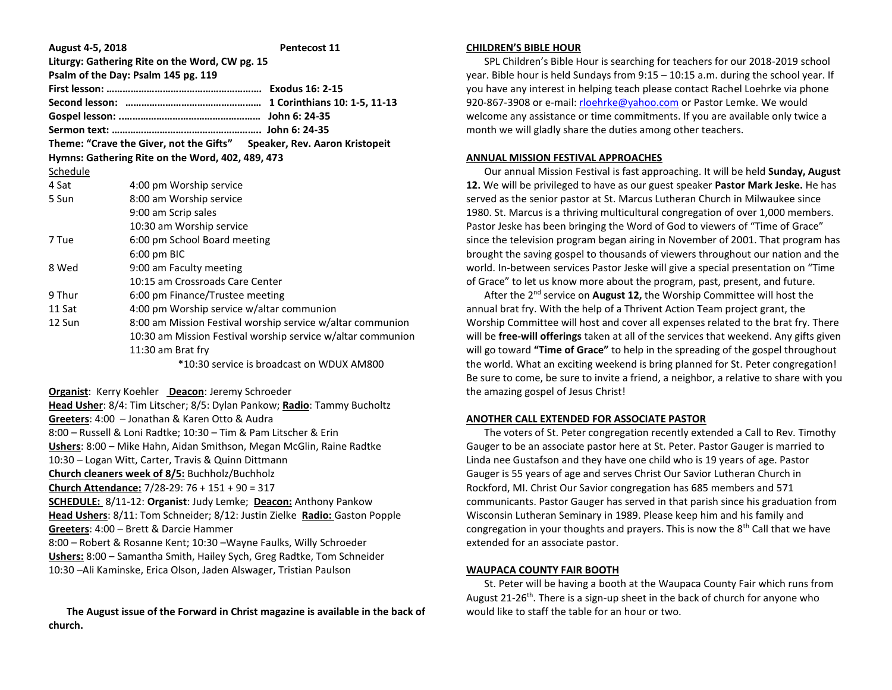| August 4-5, 2018 | <b>Pentecost 11</b>                                                    |  |  |  |
|------------------|------------------------------------------------------------------------|--|--|--|
|                  | Liturgy: Gathering Rite on the Word, CW pg. 15                         |  |  |  |
|                  | Psalm of the Day: Psalm 145 pg. 119                                    |  |  |  |
|                  |                                                                        |  |  |  |
|                  |                                                                        |  |  |  |
|                  |                                                                        |  |  |  |
|                  |                                                                        |  |  |  |
|                  | Theme: "Crave the Giver, not the Gifts" Speaker, Rev. Aaron Kristopeit |  |  |  |
|                  | Hymns: Gathering Rite on the Word, 402, 489, 473                       |  |  |  |
| Schedule         |                                                                        |  |  |  |
| 4 Sat            | 4:00 pm Worship service                                                |  |  |  |
| 5 Sun            | 8:00 am Worship service                                                |  |  |  |
|                  | 9:00 am Scrip sales                                                    |  |  |  |
|                  | 10:30 am Worship service                                               |  |  |  |
| 7 Tue            | 6:00 pm School Board meeting                                           |  |  |  |
|                  | 6:00 pm BIC                                                            |  |  |  |
| 8 Wed            | 9:00 am Faculty meeting                                                |  |  |  |
|                  | 10:15 am Crossroads Care Center                                        |  |  |  |
| 9 Thur           | 6:00 pm Finance/Trustee meeting                                        |  |  |  |
| 11 Sat           | 4:00 pm Worship service w/altar communion                              |  |  |  |
| 12 Sun           | 8:00 am Mission Festival worship service w/altar communion             |  |  |  |
|                  | 10:30 am Mission Festival worship service w/altar communion            |  |  |  |
|                  | 11:30 am Brat fry                                                      |  |  |  |
|                  | *10:30 service is broadcast on WDUX AM800                              |  |  |  |

**Organist**: Kerry Koehler **Deacon**: Jeremy Schroeder **Head Usher**: 8/4: Tim Litscher; 8/5: Dylan Pankow; **Radio**: Tammy Bucholtz **Greeters**: 4:00 – Jonathan & Karen Otto & Audra 8:00 – Russell & Loni Radtke; 10:30 – Tim & Pam Litscher & Erin **Ushers**: 8:00 – Mike Hahn, Aidan Smithson, Megan McGlin, Raine Radtke 10:30 – Logan Witt, Carter, Travis & Quinn Dittmann **Church cleaners week of 8/5:** Buchholz/Buchholz **Church Attendance:** 7/28-29: 76 + 151 + 90 = 317 **SCHEDULE:** 8/11-12: **Organist**: Judy Lemke; **Deacon:** Anthony Pankow **Head Ushers**: 8/11: Tom Schneider; 8/12: Justin Zielke **Radio:** Gaston Popple **Greeters**: 4:00 – Brett & Darcie Hammer 8:00 – Robert & Rosanne Kent; 10:30 –Wayne Faulks, Willy Schroeder **Ushers:** 8:00 – Samantha Smith, Hailey Sych, Greg Radtke, Tom Schneider 10:30 –Ali Kaminske, Erica Olson, Jaden Alswager, Tristian Paulson

 **The August issue of the Forward in Christ magazine is available in the back of church.**

#### **CHILDREN'S BIBLE HOUR**

 SPL Children's Bible Hour is searching for teachers for our 2018-2019 school year. Bible hour is held Sundays from 9:15 – 10:15 a.m. during the school year. If you have any interest in helping teach please contact Rachel Loehrke via phone 920-867-3908 or e-mail[: rloehrke@yahoo.com](mailto:rloehrke@yahoo.com) or Pastor Lemke. We would welcome any assistance or time commitments. If you are available only twice a month we will gladly share the duties among other teachers.

#### **ANNUAL MISSION FESTIVAL APPROACHES**

 Our annual Mission Festival is fast approaching. It will be held **Sunday, August 12.** We will be privileged to have as our guest speaker **Pastor Mark Jeske.** He has served as the senior pastor at St. Marcus Lutheran Church in Milwaukee since 1980. St. Marcus is a thriving multicultural congregation of over 1,000 members. Pastor Jeske has been bringing the Word of God to viewers of "Time of Grace" since the television program began airing in November of 2001. That program has brought the saving gospel to thousands of viewers throughout our nation and the world. In-between services Pastor Jeske will give a special presentation on "Time of Grace" to let us know more about the program, past, present, and future.

 After the 2nd service on **August 12,** the Worship Committee will host the annual brat fry. With the help of a Thrivent Action Team project grant, the Worship Committee will host and cover all expenses related to the brat fry. There will be **free-will offerings** taken at all of the services that weekend. Any gifts given will go toward **"Time of Grace"** to help in the spreading of the gospel throughout the world. What an exciting weekend is bring planned for St. Peter congregation! Be sure to come, be sure to invite a friend, a neighbor, a relative to share with you the amazing gospel of Jesus Christ!

# **ANOTHER CALL EXTENDED FOR ASSOCIATE PASTOR**

 The voters of St. Peter congregation recently extended a Call to Rev. Timothy Gauger to be an associate pastor here at St. Peter. Pastor Gauger is married to Linda nee Gustafson and they have one child who is 19 years of age. Pastor Gauger is 55 years of age and serves Christ Our Savior Lutheran Church in Rockford, MI. Christ Our Savior congregation has 685 members and 571 communicants. Pastor Gauger has served in that parish since his graduation from Wisconsin Lutheran Seminary in 1989. Please keep him and his family and congregation in your thoughts and prayers. This is now the  $8<sup>th</sup>$  Call that we have extended for an associate pastor.

# **WAUPACA COUNTY FAIR BOOTH**

 St. Peter will be having a booth at the Waupaca County Fair which runs from August 21-26<sup>th</sup>. There is a sign-up sheet in the back of church for anyone who would like to staff the table for an hour or two.